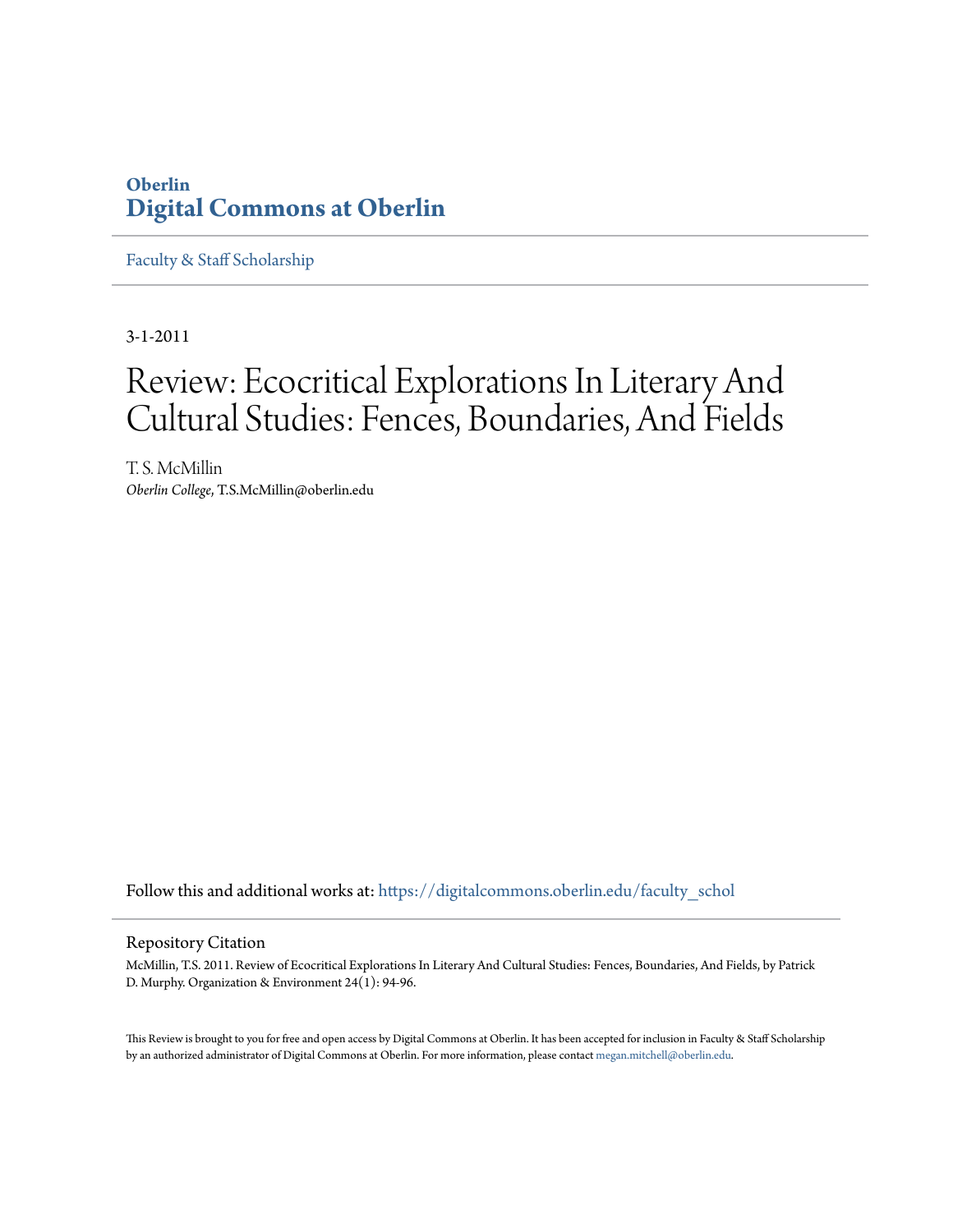## **Oberlin [Digital Commons at Oberlin](https://digitalcommons.oberlin.edu?utm_source=digitalcommons.oberlin.edu%2Ffaculty_schol%2F2546&utm_medium=PDF&utm_campaign=PDFCoverPages)**

[Faculty & Staff Scholarship](https://digitalcommons.oberlin.edu/faculty_schol?utm_source=digitalcommons.oberlin.edu%2Ffaculty_schol%2F2546&utm_medium=PDF&utm_campaign=PDFCoverPages)

3-1-2011

# Review: Ecocritical Explorations In Literary And Cultural Studies: Fences, Boundaries, And Fields

T. S. McMillin *Oberlin College*, T.S.McMillin@oberlin.edu

Follow this and additional works at: [https://digitalcommons.oberlin.edu/faculty\\_schol](https://digitalcommons.oberlin.edu/faculty_schol?utm_source=digitalcommons.oberlin.edu%2Ffaculty_schol%2F2546&utm_medium=PDF&utm_campaign=PDFCoverPages)

### Repository Citation

McMillin, T.S. 2011. Review of Ecocritical Explorations In Literary And Cultural Studies: Fences, Boundaries, And Fields, by Patrick D. Murphy. Organization & Environment 24(1): 94-96.

This Review is brought to you for free and open access by Digital Commons at Oberlin. It has been accepted for inclusion in Faculty & Staff Scholarship by an authorized administrator of Digital Commons at Oberlin. For more information, please contact [megan.mitchell@oberlin.edu.](mailto:megan.mitchell@oberlin.edu)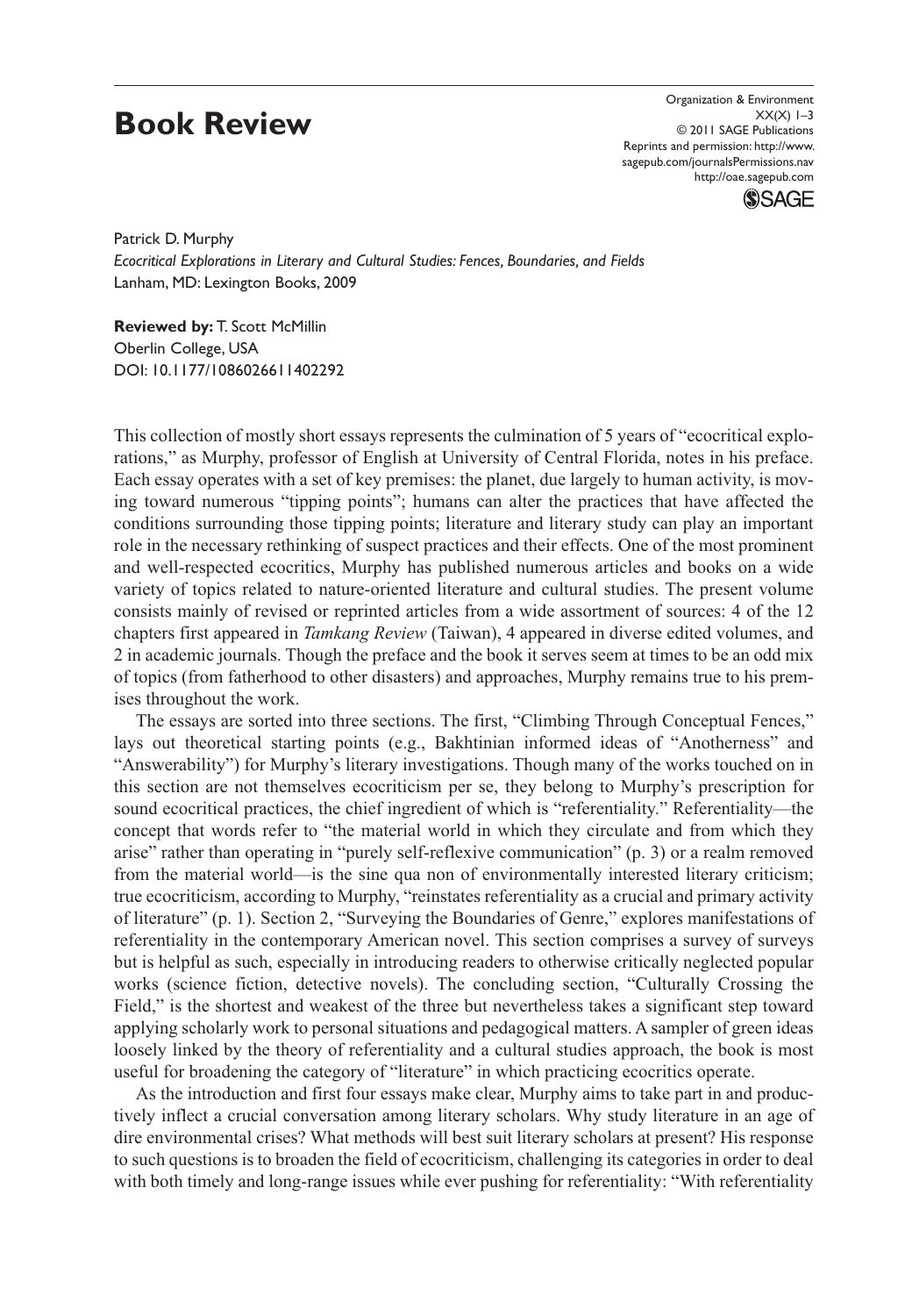## **Book Review**

Organization & Environment  $XX(X)$  1–3 © 2011 SAGE Publications Reprints and permission: http://www. sagepub.com/journalsPermissions.nav http://oae.sagepub.com



Patrick D. Murphy *Ecocritical Explorations in Literary and Cultural Studies: Fences, Boundaries, and Fields* Lanham, MD: Lexington Books, 2009

**Reviewed by:** T. Scott McMillin Oberlin College, USA DOI: 10.1177/1086026611402292

This collection of mostly short essays represents the culmination of 5 years of "ecocritical explorations," as Murphy, professor of English at University of Central Florida, notes in his preface. Each essay operates with a set of key premises: the planet, due largely to human activity, is moving toward numerous "tipping points"; humans can alter the practices that have affected the conditions surrounding those tipping points; literature and literary study can play an important role in the necessary rethinking of suspect practices and their effects. One of the most prominent and well-respected ecocritics, Murphy has published numerous articles and books on a wide variety of topics related to nature-oriented literature and cultural studies. The present volume consists mainly of revised or reprinted articles from a wide assortment of sources: 4 of the 12 chapters first appeared in *Tamkang Review* (Taiwan), 4 appeared in diverse edited volumes, and 2 in academic journals. Though the preface and the book it serves seem at times to be an odd mix of topics (from fatherhood to other disasters) and approaches, Murphy remains true to his premises throughout the work.

The essays are sorted into three sections. The first, "Climbing Through Conceptual Fences," lays out theoretical starting points (e.g., Bakhtinian informed ideas of "Anotherness" and "Answerability") for Murphy's literary investigations. Though many of the works touched on in this section are not themselves ecocriticism per se, they belong to Murphy's prescription for sound ecocritical practices, the chief ingredient of which is "referentiality." Referentiality—the concept that words refer to "the material world in which they circulate and from which they arise" rather than operating in "purely self-reflexive communication" (p. 3) or a realm removed from the material world—is the sine qua non of environmentally interested literary criticism; true ecocriticism, according to Murphy, "reinstates referentiality as a crucial and primary activity of literature" (p. 1). Section 2, "Surveying the Boundaries of Genre," explores manifestations of referentiality in the contemporary American novel. This section comprises a survey of surveys but is helpful as such, especially in introducing readers to otherwise critically neglected popular works (science fiction, detective novels). The concluding section, "Culturally Crossing the Field," is the shortest and weakest of the three but nevertheless takes a significant step toward applying scholarly work to personal situations and pedagogical matters. A sampler of green ideas loosely linked by the theory of referentiality and a cultural studies approach, the book is most useful for broadening the category of "literature" in which practicing ecocritics operate.

As the introduction and first four essays make clear, Murphy aims to take part in and productively inflect a crucial conversation among literary scholars. Why study literature in an age of dire environmental crises? What methods will best suit literary scholars at present? His response to such questions is to broaden the field of ecocriticism, challenging its categories in order to deal with both timely and long-range issues while ever pushing for referentiality: "With referentiality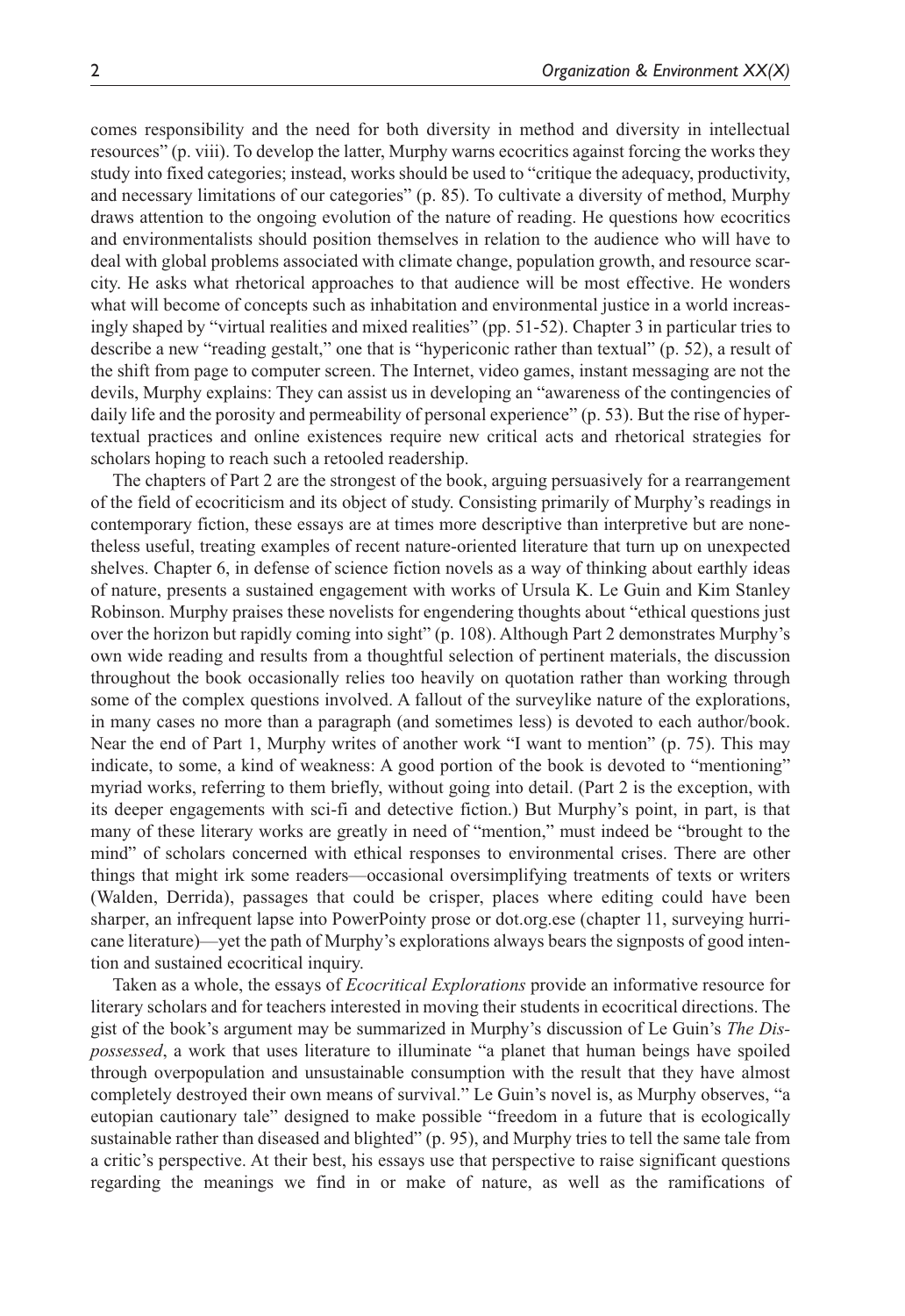comes responsibility and the need for both diversity in method and diversity in intellectual resources" (p. viii). To develop the latter, Murphy warns ecocritics against forcing the works they study into fixed categories; instead, works should be used to "critique the adequacy, productivity, and necessary limitations of our categories" (p. 85). To cultivate a diversity of method, Murphy draws attention to the ongoing evolution of the nature of reading. He questions how ecocritics and environmentalists should position themselves in relation to the audience who will have to deal with global problems associated with climate change, population growth, and resource scarcity. He asks what rhetorical approaches to that audience will be most effective. He wonders what will become of concepts such as inhabitation and environmental justice in a world increasingly shaped by "virtual realities and mixed realities" (pp. 51-52). Chapter 3 in particular tries to describe a new "reading gestalt," one that is "hypericonic rather than textual" (p. 52), a result of the shift from page to computer screen. The Internet, video games, instant messaging are not the devils, Murphy explains: They can assist us in developing an "awareness of the contingencies of daily life and the porosity and permeability of personal experience" (p. 53). But the rise of hypertextual practices and online existences require new critical acts and rhetorical strategies for scholars hoping to reach such a retooled readership.

The chapters of Part 2 are the strongest of the book, arguing persuasively for a rearrangement of the field of ecocriticism and its object of study. Consisting primarily of Murphy's readings in contemporary fiction, these essays are at times more descriptive than interpretive but are nonetheless useful, treating examples of recent nature-oriented literature that turn up on unexpected shelves. Chapter 6, in defense of science fiction novels as a way of thinking about earthly ideas of nature, presents a sustained engagement with works of Ursula K. Le Guin and Kim Stanley Robinson. Murphy praises these novelists for engendering thoughts about "ethical questions just over the horizon but rapidly coming into sight" (p. 108). Although Part 2 demonstrates Murphy's own wide reading and results from a thoughtful selection of pertinent materials, the discussion throughout the book occasionally relies too heavily on quotation rather than working through some of the complex questions involved. A fallout of the surveylike nature of the explorations, in many cases no more than a paragraph (and sometimes less) is devoted to each author/book. Near the end of Part 1, Murphy writes of another work "I want to mention" (p. 75). This may indicate, to some, a kind of weakness: A good portion of the book is devoted to "mentioning" myriad works, referring to them briefly, without going into detail. (Part 2 is the exception, with its deeper engagements with sci-fi and detective fiction.) But Murphy's point, in part, is that many of these literary works are greatly in need of "mention," must indeed be "brought to the mind" of scholars concerned with ethical responses to environmental crises. There are other things that might irk some readers—occasional oversimplifying treatments of texts or writers (Walden, Derrida), passages that could be crisper, places where editing could have been sharper, an infrequent lapse into PowerPointy prose or dot.org.ese (chapter 11, surveying hurricane literature)—yet the path of Murphy's explorations always bears the signposts of good intention and sustained ecocritical inquiry.

Taken as a whole, the essays of *Ecocritical Explorations* provide an informative resource for literary scholars and for teachers interested in moving their students in ecocritical directions. The gist of the book's argument may be summarized in Murphy's discussion of Le Guin's *The Dispossessed*, a work that uses literature to illuminate "a planet that human beings have spoiled through overpopulation and unsustainable consumption with the result that they have almost completely destroyed their own means of survival." Le Guin's novel is, as Murphy observes, "a eutopian cautionary tale" designed to make possible "freedom in a future that is ecologically sustainable rather than diseased and blighted" (p. 95), and Murphy tries to tell the same tale from a critic's perspective. At their best, his essays use that perspective to raise significant questions regarding the meanings we find in or make of nature, as well as the ramifications of